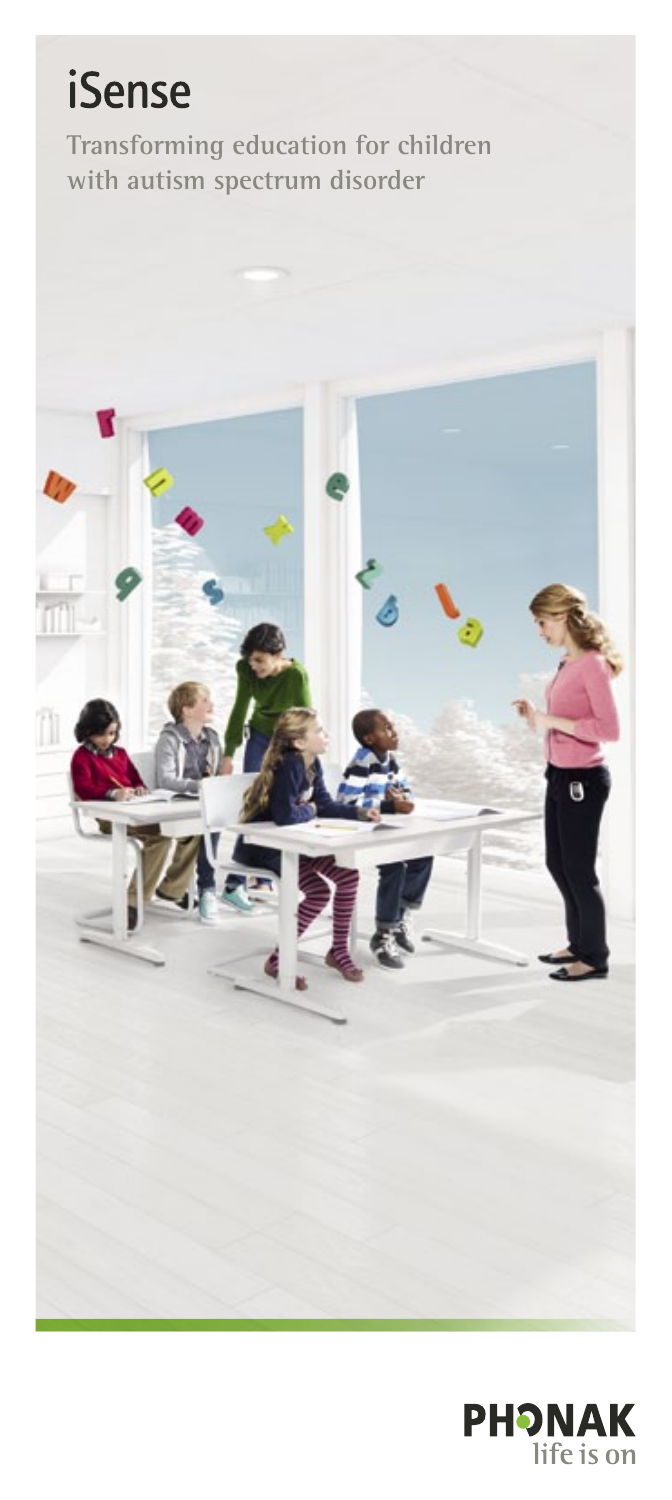# **iSense**

**Transforming education for children with autism spectrum disorder**



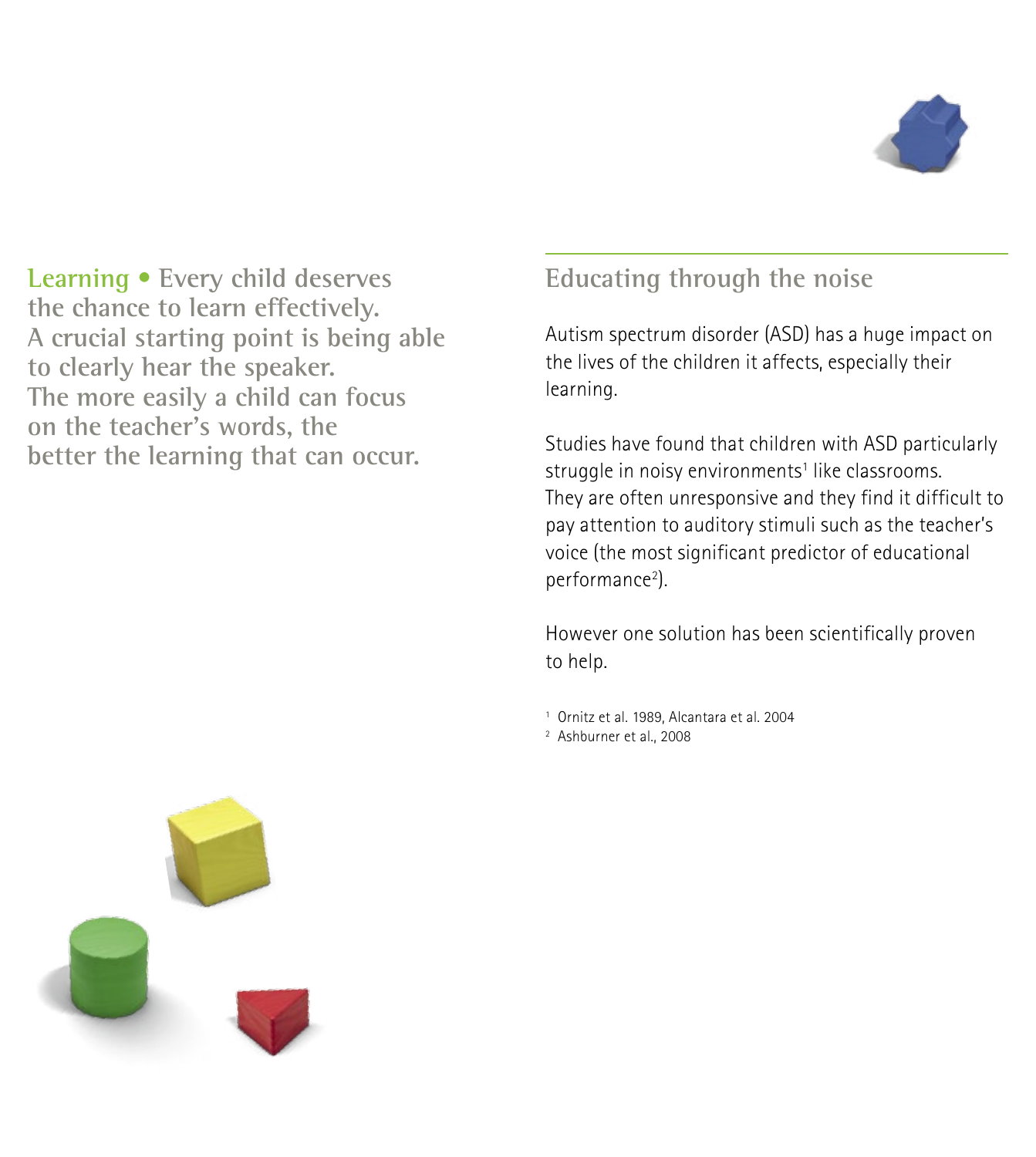

**Learning • Every child deserves the chance to learn effectively. A crucial starting point is being able to clearly hear the speaker. The more easily a child can focus on the teacher's words, the better the learning that can occur.**

## **Educating through the noise**

Autism spectrum disorder (ASD) has a huge impact on the lives of the children it affects, especially their learning.

Studies have found that children with ASD particularly struggle in noisy environments<sup>1</sup> like classrooms. They are often unresponsive and they find it difficult to pay attention to auditory stimuli such as the teacher's voice (the most significant predictor of educational performance<sup>2</sup>).

However one solution has been scientifically proven to help.

<sup>1</sup> Ornitz et al. 1989, Alcantara et al. 2004

<sup>2</sup> Ashburner et al., 2008

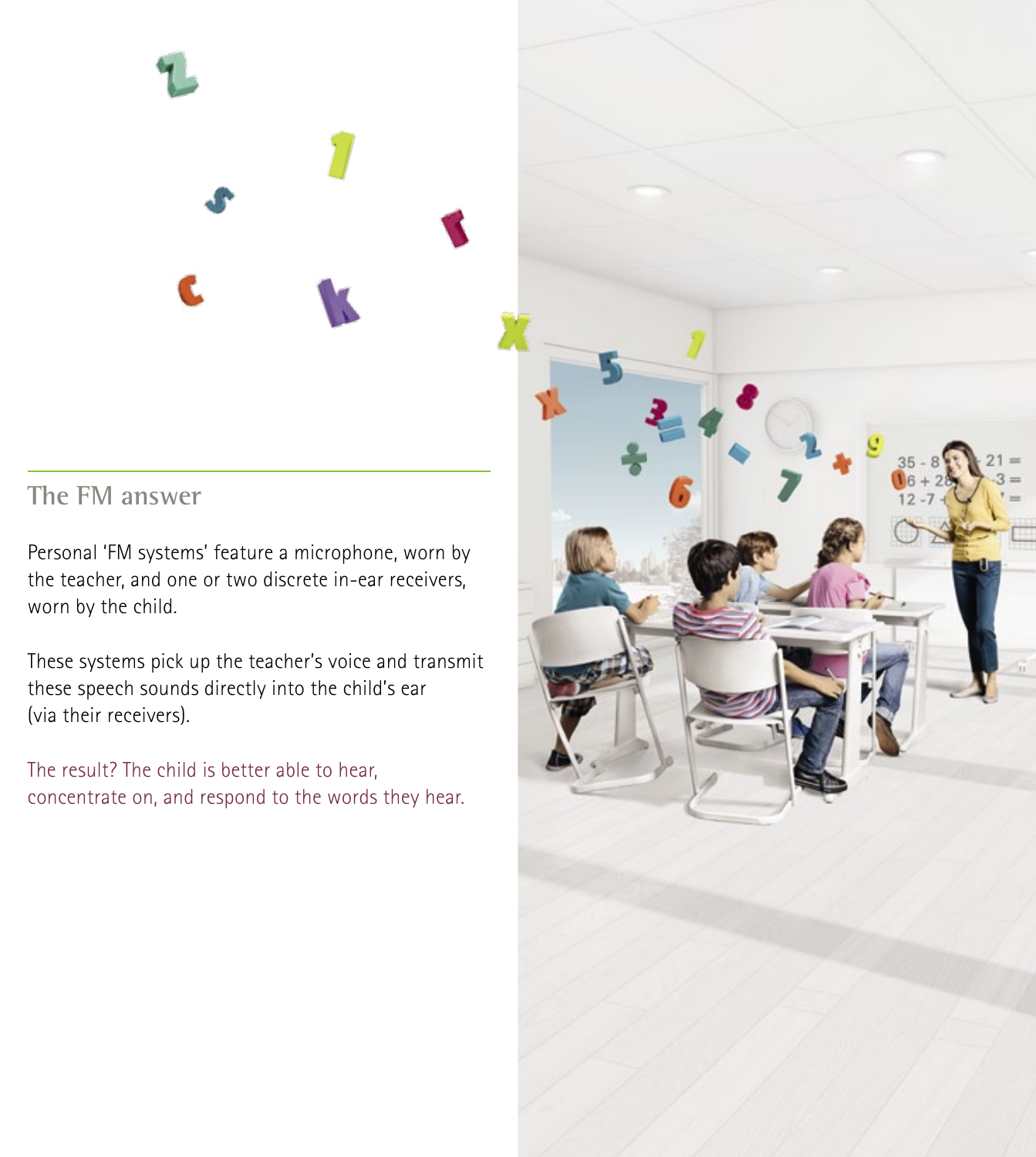#### **The FM answer**

Personal 'FM systems' feature a microphone, worn by the teacher, and one or two discrete in-ear receivers, worn by the child.

These systems pick up the teacher's voice and transmit these speech sounds directly into the child's ear (via their receivers).

The result? The child is better able to hear, concentrate on, and respond to the words they hear.

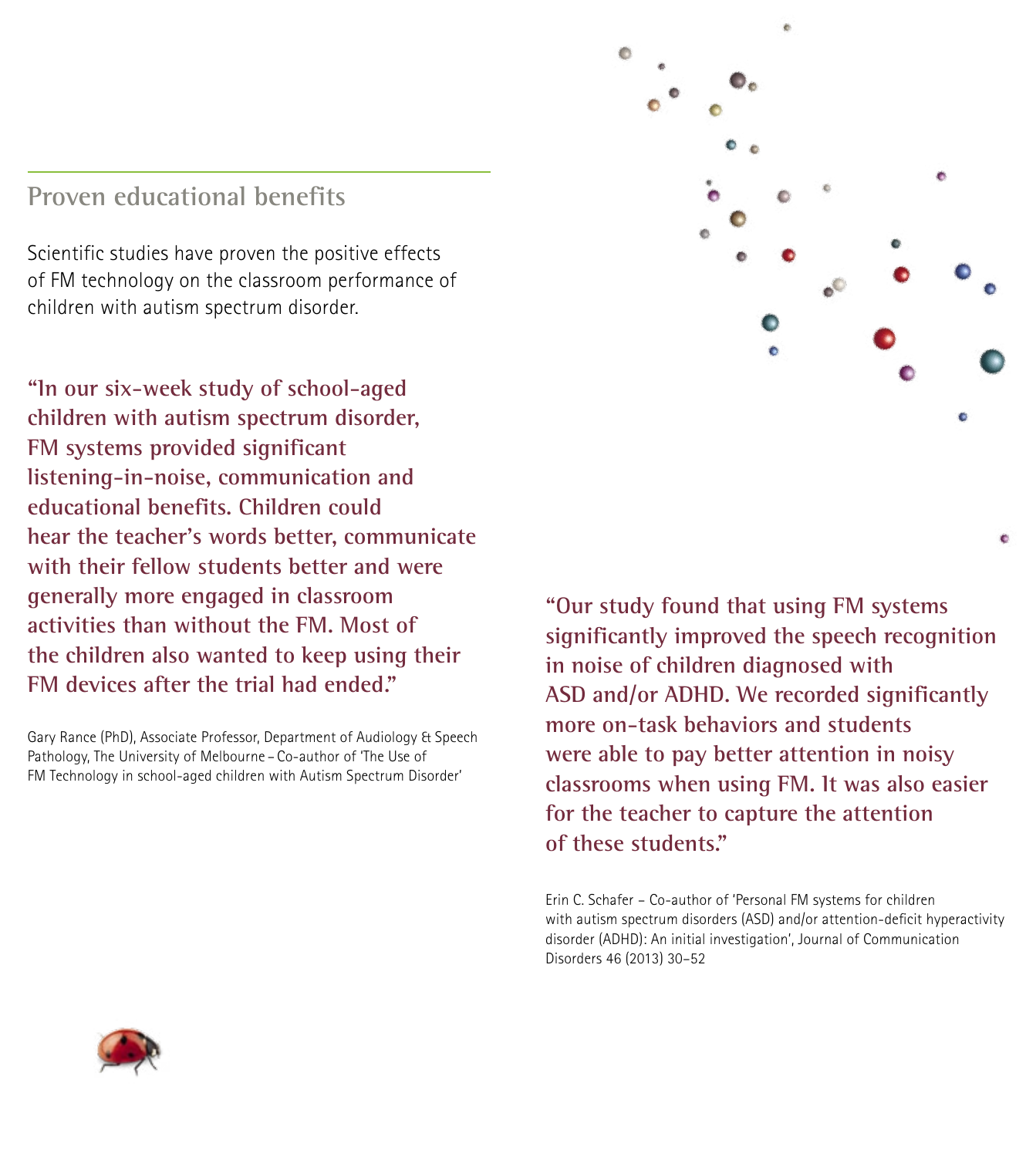#### **Proven educational benefits**

Scientific studies have proven the positive effects of FM technology on the classroom performance of children with autism spectrum disorder.

**"In our six-week study of school-aged children with autism spectrum disorder, FM systems provided significant listening-in-noise, communication and educational benefits. Children could hear the teacher's words better, communicate with their fellow students better and were generally more engaged in classroom activities than without the FM. Most of the children also wanted to keep using their FM devices after the trial had ended."**

Gary Rance (PhD), Associate Professor, Department of Audiology & Speech Pathology, The University of Melbourne – Co-author of 'The Use of FM Technology in school-aged children with Autism Spectrum Disorder'



**"Our study found that using FM systems significantly improved the speech recognition in noise of children diagnosed with ASD and/or ADHD. We recorded significantly more on-task behaviors and students were able to pay better attention in noisy classrooms when using FM. It was also easier for the teacher to capture the attention of these students."**

Erin C. Schafer – Co-author of 'Personal FM systems for children with autism spectrum disorders (ASD) and/or attention-deficit hyperactivity disorder (ADHD): An initial investigation', Journal of Communication Disorders 46 (2013) 30–52

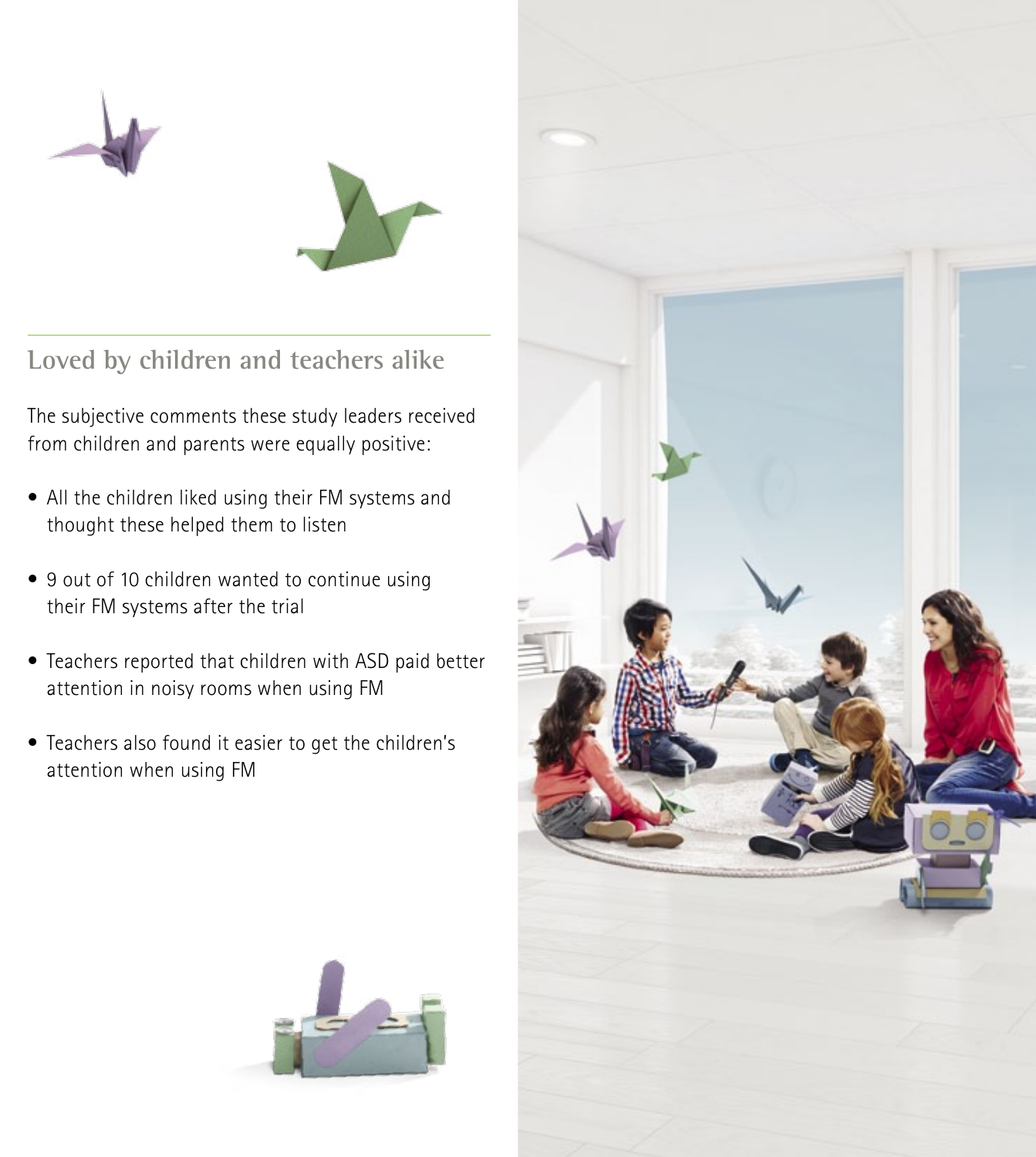



**Loved by children and teachers alike**

The subjective comments these study leaders received from children and parents were equally positive:

- All the children liked using their FM systems and thought these helped them to listen
- 9 out of 10 children wanted to continue using their FM systems after the trial
- Teachers reported that children with ASD paid better attention in noisy rooms when using FM
- Teachers also found it easier to get the children's attention when using FM



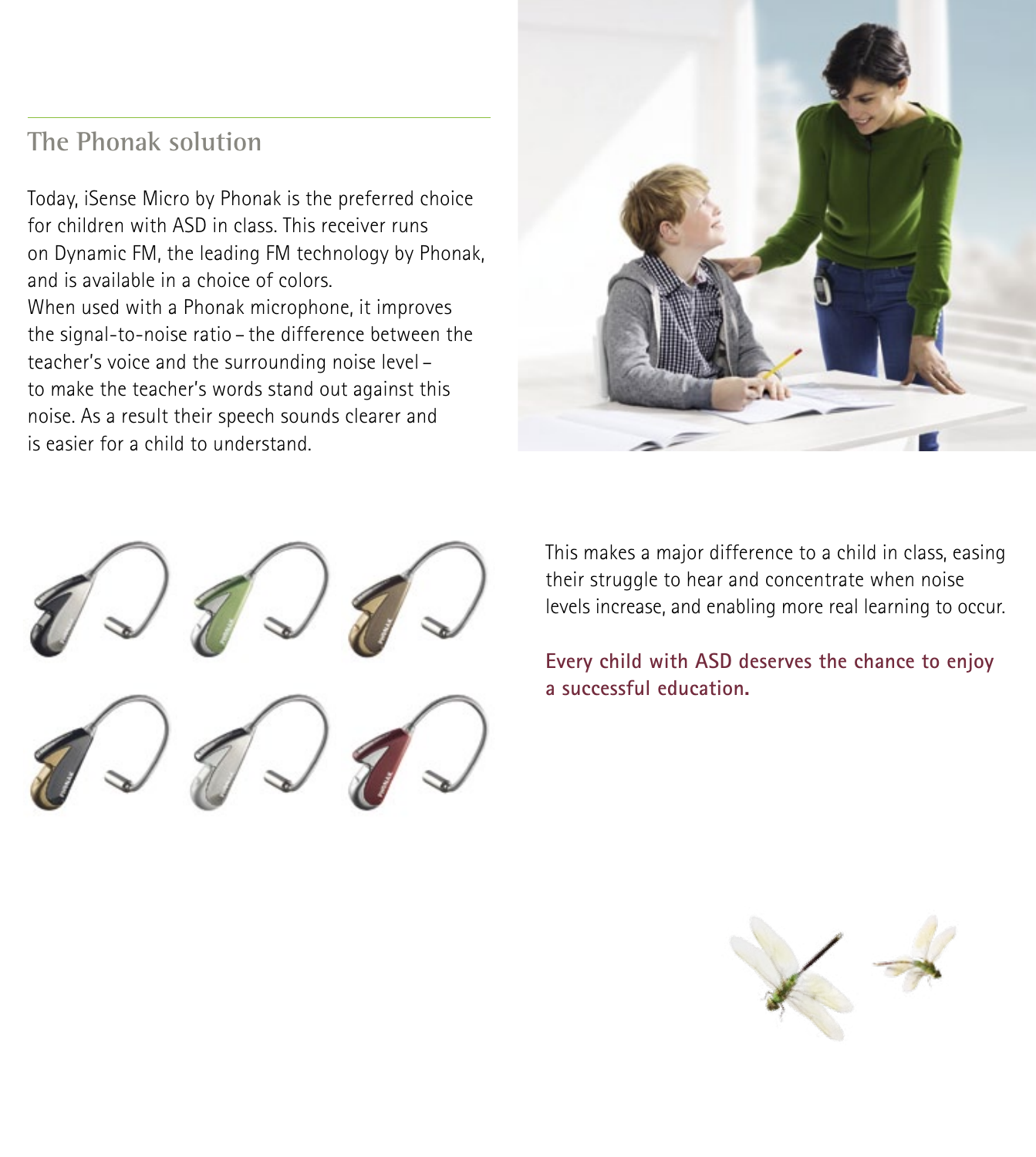### **The Phonak solution**

Today, iSense Micro by Phonak is the preferred choice for children with ASD in class. This receiver runs on Dynamic FM, the leading FM technology by Phonak, and is available in a choice of colors. When used with a Phonak microphone, it improves the signal-to-noise ratio – the difference between the teacher's voice and the surrounding noise level – to make the teacher's words stand out against this noise. As a result their speech sounds clearer and is easier for a child to understand.





This makes a major difference to a child in class, easing their struggle to hear and concentrate when noise levels increase, and enabling more real learning to occur.

**Every child with ASD deserves the chance to enjoy a successful education.**